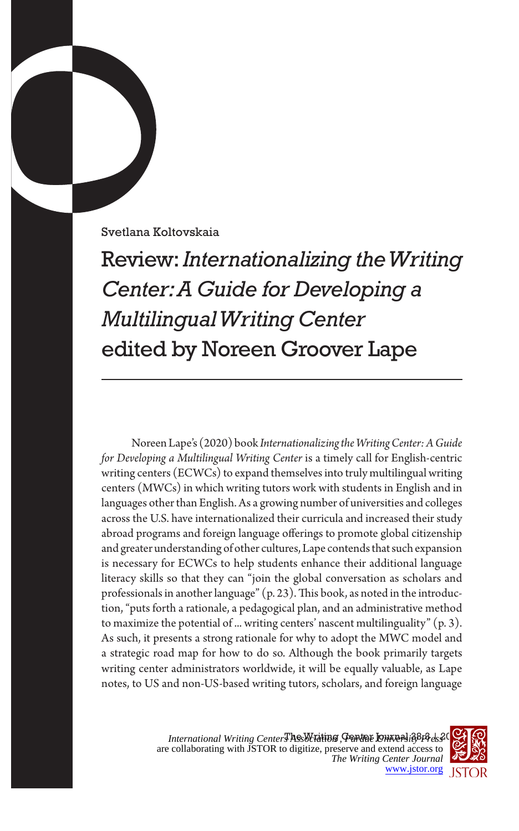Svetlana Koltovskaia

Review: *Internationalizing the Writing Center: A Guide for Developing a Multilingual Writing Center* edited by Noreen Groover Lape

Noreen Lape's (2020) book *Internationalizing the Writing Center: A Guide for Developing a Multilingual Writing Center* is a timely call for English-centric writing centers (ECWCs) to expand themselves into truly multilingual writing centers (MWCs) in which writing tutors work with students in English and in languages other than English. As a growing number of universities and colleges across the U.S. have internationalized their curricula and increased their study abroad programs and foreign language offerings to promote global citizenship and greater understanding of other cultures, Lape contends that such expansion is necessary for ECWCs to help students enhance their additional language literacy skills so that they can "join the global conversation as scholars and professionals in another language" (p. 23). This book, as noted in the introduction, "puts forth a rationale, a pedagogical plan, and an administrative method to maximize the potential of ... writing centers' nascent multilinguality"  $(p, 3)$ . As such, it presents a strong rationale for why to adopt the MWC model and a strategic road map for how to do so. Although the book primarily targets writing center administrators worldwide, it will be equally valuable, as Lape notes, to US and non-US-based writing tutors, scholars, and foreign language

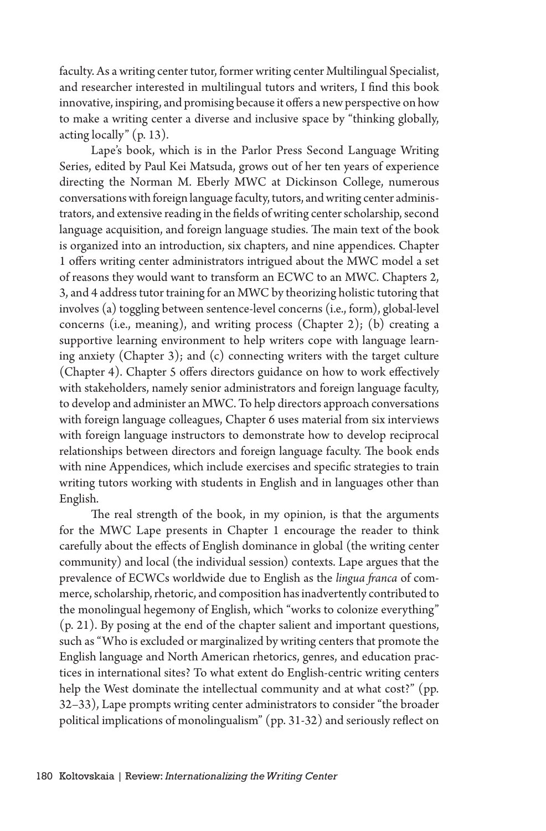faculty. As a writing center tutor, former writing center Multilingual Specialist, and researcher interested in multilingual tutors and writers, I find this book innovative, inspiring, and promising because it offers a new perspective on how to make a writing center a diverse and inclusive space by "thinking globally, acting locally" (p. 13).

Lape's book, which is in the Parlor Press Second Language Writing Series, edited by Paul Kei Matsuda, grows out of her ten years of experience directing the Norman M. Eberly MWC at Dickinson College, numerous conversations with foreign language faculty, tutors, and writing center administrators, and extensive reading in the fields of writing center scholarship, second language acquisition, and foreign language studies. The main text of the book is organized into an introduction, six chapters, and nine appendices. Chapter 1 offers writing center administrators intrigued about the MWC model a set of reasons they would want to transform an ECWC to an MWC. Chapters 2, 3, and 4 address tutor training for an MWC by theorizing holistic tutoring that involves (a) toggling between sentence-level concerns (i.e., form), global-level concerns (i.e., meaning), and writing process (Chapter 2); (b) creating a supportive learning environment to help writers cope with language learning anxiety (Chapter 3); and (c) connecting writers with the target culture (Chapter 4). Chapter 5 offers directors guidance on how to work effectively with stakeholders, namely senior administrators and foreign language faculty, to develop and administer an MWC. To help directors approach conversations with foreign language colleagues, Chapter 6 uses material from six interviews with foreign language instructors to demonstrate how to develop reciprocal relationships between directors and foreign language faculty. The book ends with nine Appendices, which include exercises and specific strategies to train writing tutors working with students in English and in languages other than English.

The real strength of the book, in my opinion, is that the arguments for the MWC Lape presents in Chapter 1 encourage the reader to think carefully about the effects of English dominance in global (the writing center community) and local (the individual session) contexts. Lape argues that the prevalence of ECWCs worldwide due to English as the *lingua franca* of commerce, scholarship, rhetoric, and composition has inadvertently contributed to the monolingual hegemony of English, which "works to colonize everything" (p. 21). By posing at the end of the chapter salient and important questions, such as "Who is excluded or marginalized by writing centers that promote the English language and North American rhetorics, genres, and education practices in international sites? To what extent do English-centric writing centers help the West dominate the intellectual community and at what cost?" (pp. 32–33), Lape prompts writing center administrators to consider "the broader political implications of monolingualism" (pp. 31-32) and seriously reflect on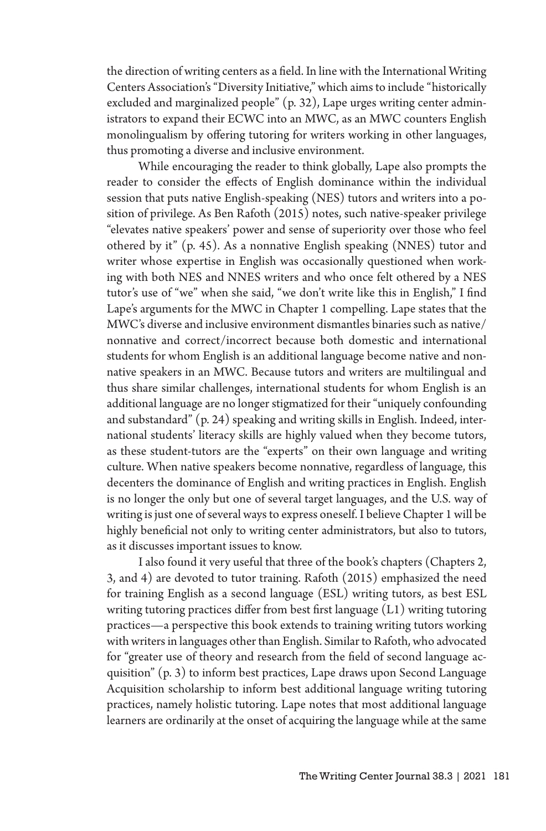the direction of writing centers as a field. In line with the International Writing Centers Association's "Diversity Initiative," which aims to include "historically excluded and marginalized people" (p. 32), Lape urges writing center administrators to expand their ECWC into an MWC, as an MWC counters English monolingualism by offering tutoring for writers working in other languages, thus promoting a diverse and inclusive environment.

While encouraging the reader to think globally, Lape also prompts the reader to consider the effects of English dominance within the individual session that puts native English-speaking (NES) tutors and writers into a position of privilege. As Ben Rafoth (2015) notes, such native-speaker privilege "elevates native speakers' power and sense of superiority over those who feel othered by it" (p. 45). As a nonnative English speaking (NNES) tutor and writer whose expertise in English was occasionally questioned when working with both NES and NNES writers and who once felt othered by a NES tutor's use of "we" when she said, "we don't write like this in English," I find Lape's arguments for the MWC in Chapter 1 compelling. Lape states that the MWC's diverse and inclusive environment dismantles binaries such as native/ nonnative and correct/incorrect because both domestic and international students for whom English is an additional language become native and nonnative speakers in an MWC. Because tutors and writers are multilingual and thus share similar challenges, international students for whom English is an additional language are no longer stigmatized for their "uniquely confounding and substandard" (p. 24) speaking and writing skills in English. Indeed, international students' literacy skills are highly valued when they become tutors, as these student-tutors are the "experts" on their own language and writing culture. When native speakers become nonnative, regardless of language, this decenters the dominance of English and writing practices in English. English is no longer the only but one of several target languages, and the U.S. way of writing is just one of several ways to express oneself. I believe Chapter 1 will be highly beneficial not only to writing center administrators, but also to tutors, as it discusses important issues to know.

I also found it very useful that three of the book's chapters (Chapters 2, 3, and 4) are devoted to tutor training. Rafoth (2015) emphasized the need for training English as a second language (ESL) writing tutors, as best ESL writing tutoring practices differ from best first language (L1) writing tutoring practices—a perspective this book extends to training writing tutors working with writers in languages other than English. Similar to Rafoth, who advocated for "greater use of theory and research from the field of second language acquisition" (p. 3) to inform best practices, Lape draws upon Second Language Acquisition scholarship to inform best additional language writing tutoring practices, namely holistic tutoring. Lape notes that most additional language learners are ordinarily at the onset of acquiring the language while at the same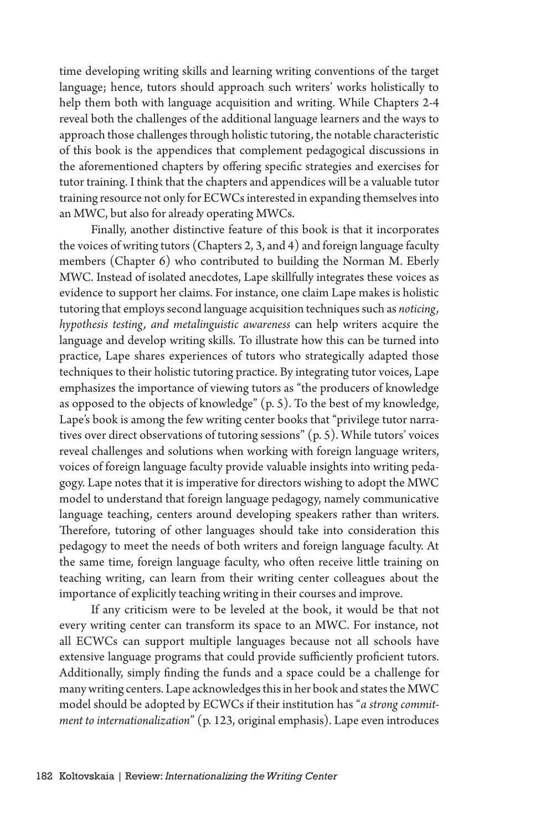time developing writing skills and learning writing conventions of the target language; hence, tutors should approach such writers' works holistically to help them both with language acquisition and writing. While Chapters 2-4 reveal both the challenges of the additional language learners and the ways to approach those challenges through holistic tutoring, the notable characteristic of this book is the appendices that complement pedagogical discussions in the aforementioned chapters by offering specific strategies and exercises for tutor training. I think that the chapters and appendices will be a valuable tutor training resource not only for ECWCs interested in expanding themselves into an MWC, but also for already operating MWCs.

Finally, another distinctive feature of this book is that it incorporates the voices of writing tutors (Chapters 2, 3, and 4) and foreign language faculty members (Chapter 6) who contributed to building the Norman M. Eberly MWC. Instead of isolated anecdotes, Lape skillfully integrates these voices as evidence to support her claims. For instance, one claim Lape makes is holistic tutoring that employs second language acquisition techniques such as *noticing, hypothesis testing, and metalinguistic awareness* can help writers acquire the language and develop writing skills. To illustrate how this can be turned into practice, Lape shares experiences of tutors who strategically adapted those techniques to their holistic tutoring practice. By integrating tutor voices, Lape emphasizes the importance of viewing tutors as "the producers of knowledge as opposed to the objects of knowledge" (p. 5). To the best of my knowledge, Lape's book is among the few writing center books that "privilege tutor narratives over direct observations of tutoring sessions" (p. 5). While tutors' voices reveal challenges and solutions when working with foreign language writers, voices of foreign language faculty provide valuable insights into writing pedagogy. Lape notes that it is imperative for directors wishing to adopt the MWC model to understand that foreign language pedagogy, namely communicative language teaching, centers around developing speakers rather than writers. Therefore, tutoring of other languages should take into consideration this pedagogy to meet the needs of both writers and foreign language faculty. At the same time, foreign language faculty, who often receive little training on teaching writing, can learn from their writing center colleagues about the importance of explicitly teaching writing in their courses and improve.

If any criticism were to be leveled at the book, it would be that not every writing center can transform its space to an MWC. For instance, not all ECWCs can support multiple languages because not all schools have extensive language programs that could provide sufficiently proficient tutors. Additionally, simply finding the funds and a space could be a challenge for many writing centers. Lape acknowledges this in her book and states the MWC model should be adopted by ECWCs if their institution has "*a strong commitment to internationalization*" (p. 123, original emphasis). Lape even introduces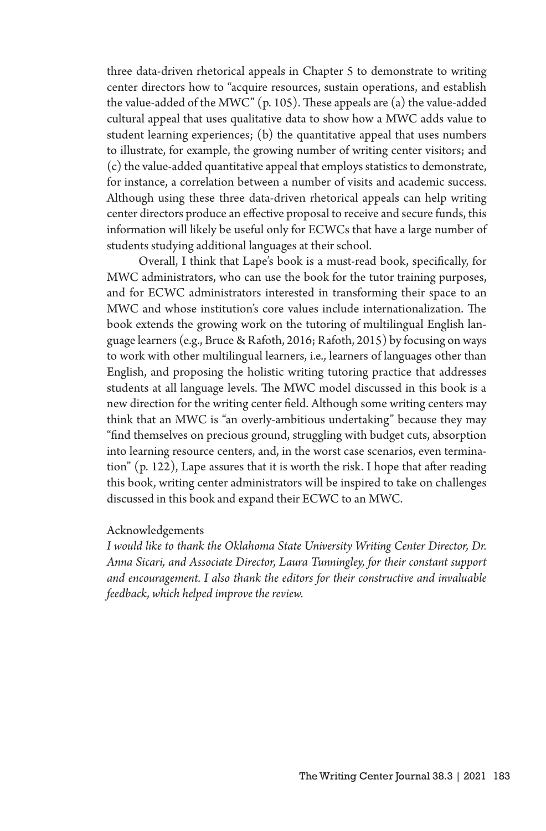three data-driven rhetorical appeals in Chapter 5 to demonstrate to writing center directors how to "acquire resources, sustain operations, and establish the value-added of the MWC" (p. 105). These appeals are (a) the value-added cultural appeal that uses qualitative data to show how a MWC adds value to student learning experiences; (b) the quantitative appeal that uses numbers to illustrate, for example, the growing number of writing center visitors; and (c) the value-added quantitative appeal that employs statistics to demonstrate, for instance, a correlation between a number of visits and academic success. Although using these three data-driven rhetorical appeals can help writing center directors produce an effective proposal to receive and secure funds, this information will likely be useful only for ECWCs that have a large number of students studying additional languages at their school.

Overall, I think that Lape's book is a must-read book, specifically, for MWC administrators, who can use the book for the tutor training purposes, and for ECWC administrators interested in transforming their space to an MWC and whose institution's core values include internationalization. The book extends the growing work on the tutoring of multilingual English language learners (e.g., Bruce & Rafoth, 2016; Rafoth, 2015) by focusing on ways to work with other multilingual learners, i.e., learners of languages other than English, and proposing the holistic writing tutoring practice that addresses students at all language levels. The MWC model discussed in this book is a new direction for the writing center field. Although some writing centers may think that an MWC is "an overly-ambitious undertaking" because they may "find themselves on precious ground, struggling with budget cuts, absorption into learning resource centers, and, in the worst case scenarios, even termination" (p. 122), Lape assures that it is worth the risk. I hope that after reading this book, writing center administrators will be inspired to take on challenges discussed in this book and expand their ECWC to an MWC.

## Acknowledgements

*I would like to thank the Oklahoma State University Writing Center Director, Dr. Anna Sicari, and Associate Director, Laura Tunningley, for their constant support and encouragement. I also thank the editors for their constructive and invaluable feedback, which helped improve the review.*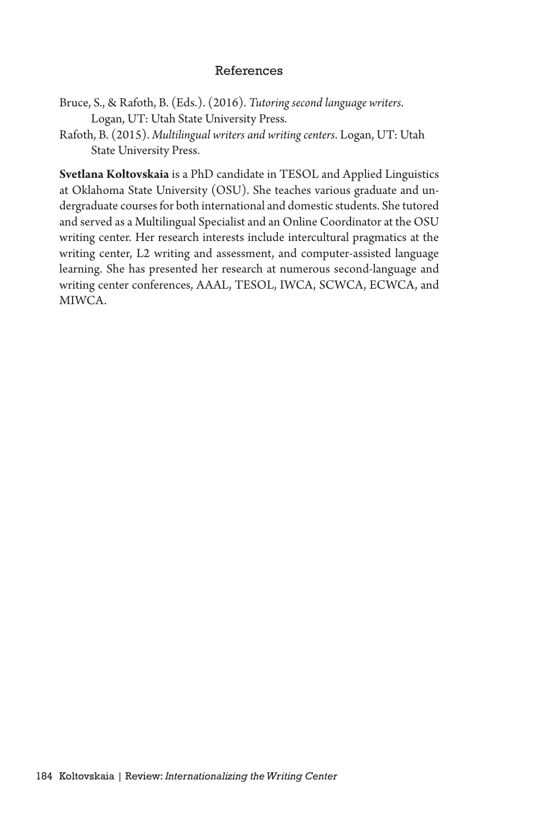## References

- Bruce, S., & Rafoth, B. (Eds.). (2016). *Tutoring second language writers*. Logan, UT: Utah State University Press.
- Rafoth, B. (2015). *Multilingual writers and writing centers*. Logan, UT: Utah State University Press.

**Svetlana Koltovskaia** is a PhD candidate in TESOL and Applied Linguistics at Oklahoma State University (OSU). She teaches various graduate and undergraduate courses for both international and domestic students. She tutored and served as a Multilingual Specialist and an Online Coordinator at the OSU writing center. Her research interests include intercultural pragmatics at the writing center, L2 writing and assessment, and computer-assisted language learning. She has presented her research at numerous second-language and writing center conferences, AAAL, TESOL, IWCA, SCWCA, ECWCA, and MIWCA.